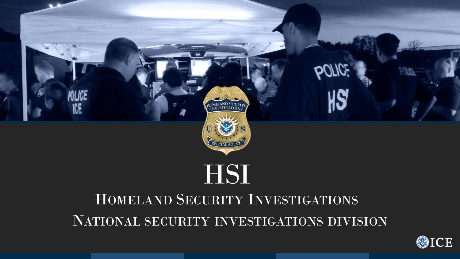

# HOMELAND SECURITY INVESTIGATIONS NATIONAL SECURITY INVESTIGATIONS DIVISION

ISI







**OICE**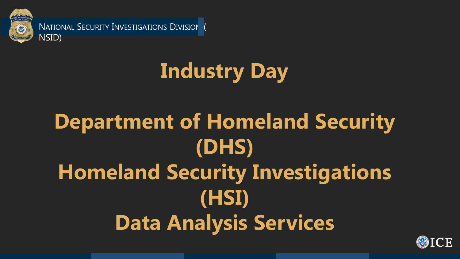**Industry Day**

**Department of Homeland Security (DHS) Homeland Security Investigations (HSI) Data Analysis Services**







NATIONAL SECURITY INVESTIGATIONS DIVISION NSID)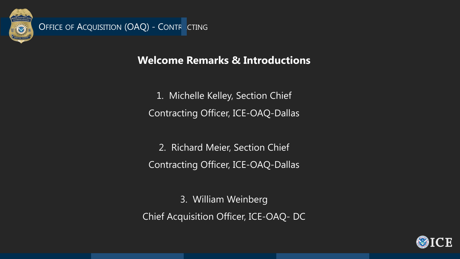OFFICE OF ACQUISITION (OAQ) - CONTRACTING

MELAND SECUI

SPECIAL AG

### **Welcome Remarks & Introductions**

- 1. Michelle Kelley, Section Chief Contracting Officer, ICE-OAQ-Dallas
	- 2. Richard Meier, Section Chief
- Contracting Officer, ICE-OAQ-Dallas
- 3. William Weinberg Chief Acquisition Officer, ICE-OAQ- DC



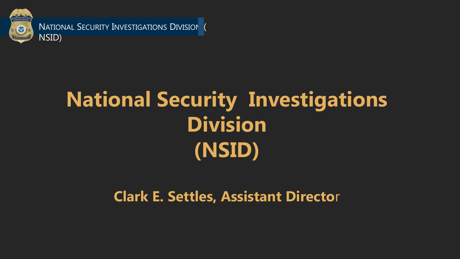# **National Security Investigations Division (NSID)**



NATIONAL SECURITY INVESTIGATIONS DIVISION NSID)

**Clark E. Settles, Assistant Directo**r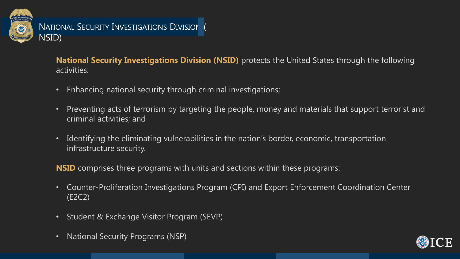#### **National Security Investigations Division (NSID)** protects the United States through the following





activities:

- Enhancing national security through criminal investigations;
- Preventing acts of terrorism by targeting the people, money and materials that support terrorist and criminal activities; and
- Identifying the eliminating vulnerabilities in the nation's border, economic, transportation infrastructure security.
- **NSID** comprises three programs with units and sections within these programs:
- Counter-Proliferation Investigations Program (CPI) and Export Enforcement Coordination Center (E2C2)
- Student & Exchange Visitor Program (SEVP)
- National Security Programs (NSP)

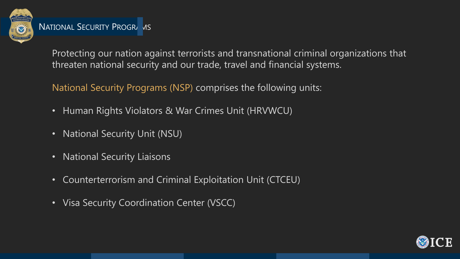

Protecting our nation against terrorists and transnational criminal organizations that threaten national security and our trade, travel and financial systems.

National Security Programs (NSP) comprises the following units:

- Human Rights Violators & War Crimes Unit (HRVWCU)
- National Security Unit (NSU)
- National Security Liaisons
- Counterterrorism and Criminal Exploitation Unit (CTCEU)
- Visa Security Coordination Center (VSCC)



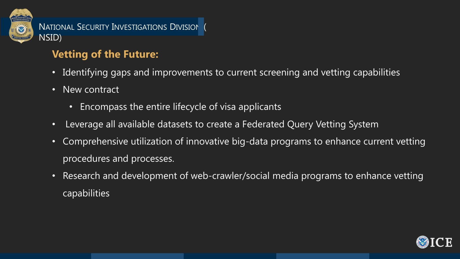## **Vetting of the Future:**

#### • Identifying gaps and improvements to current screening and vetting capabilities





- 
- New contract
	- Encompass the entire lifecycle of visa applicants
- Leverage all available datasets to create a Federated Query Vetting System
- Comprehensive utilization of innovative big-data programs to enhance current vetting procedures and processes.
- Research and development of web-crawler/social media programs to enhance vetting capabilities

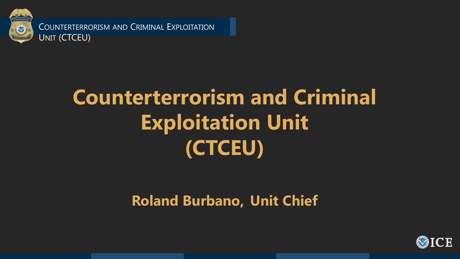# **Counterterrorism and Criminal Exploitation Unit (CTCEU)**

# **Roland Burbano, Unit Chief**







COUNTERTERRORISM AND CRIMINAL EXPLOITATION UNIT (CTCEU)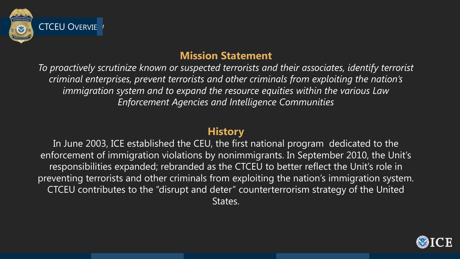### **Mission Statement**

*To proactively scrutinize known or suspected terrorists and their associates, identify terrorist criminal enterprises, prevent terrorists and other criminals from exploiting the nation's immigration system and to expand the resource equities within the various Law Enforcement Agencies and Intelligence Communities*



### **History**





In June 2003, ICE established the CEU, the first national program dedicated to the enforcement of immigration violations by nonimmigrants. In September 2010, the Unit's responsibilities expanded; rebranded as the CTCEU to better reflect the Unit's role in preventing terrorists and other criminals from exploiting the nation's immigration system. CTCEU contributes to the "disrupt and deter" counterterrorism strategy of the United States.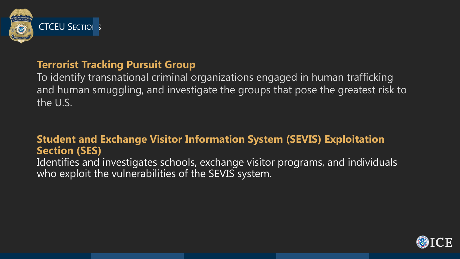

### **Terrorist Tracking Pursuit Group**

To identify transnational criminal organizations engaged in human trafficking and human smuggling, and investigate the groups that pose the greatest risk to the U.S.

Identifies and investigates schools, exchange visitor programs, and individuals who exploit the vulnerabilities of the SEVIS system.





#### **Student and Exchange Visitor Information System (SEVIS) Exploitation Section (SES)**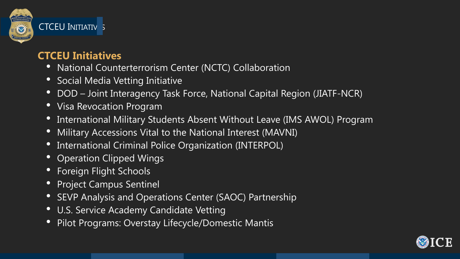

#### **CTCEU INITIATIV 5**

### **CTCEU Initiatives**

- National Counterterrorism Center (NCTC) Collaboration
- Social Media Vetting Initiative
- DOD Joint Interagency Task Force, National Capital Region (JIATF-NCR)
- Visa Revocation Program
- International Military Students Absent Without Leave (IMS AWOL) Program • Military Accessions Vital to the National Interest (MAVNI) • International Criminal Police Organization (INTERPOL)
- 
- 
- **Operation Clipped Wings**
- Foreign Flight Schools
- Project Campus Sentinel
- SEVP Analysis and Operations Center (SAOC) Partnership
- U.S. Service Academy Candidate Vetting
- Pilot Programs: Overstay Lifecycle/Domestic Mantis



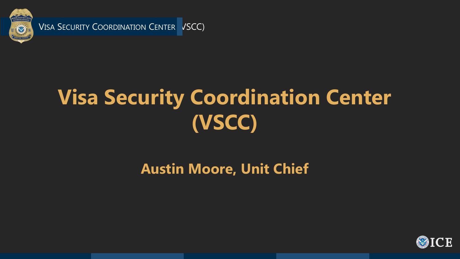

VISA SECURITY COORDINATION CENTER VSCC)

# **Visa Security Coordination Center (VSCC)**

# **Austin Moore, Unit Chief**



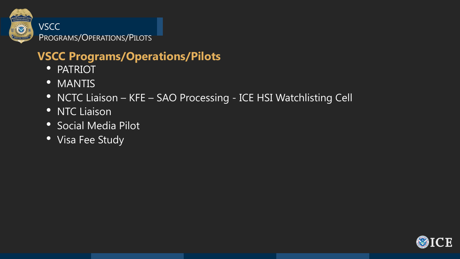## **VSCC Programs/Operations/Pilots**

- PATRIOT
- MANTIS
- NCTC Liaison KFE SAO Processing ICE HSI Watchlisting Cell
- NTC Liaison
- Social Media Pilot
- Visa Fee Study







VSCC PROGRAMS/OPERATIONS/PILOTS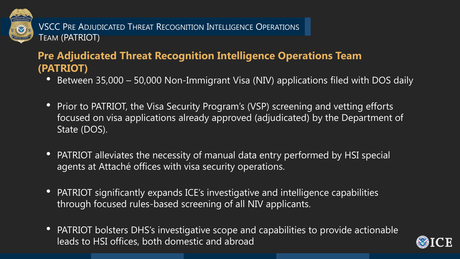### **Pre Adjudicated Threat Recognition Intelligence Operations Team (PATRIOT)**

• Between 35,000 – 50,000 Non-Immigrant Visa (NIV) applications filed with DOS daily

• Prior to PATRIOT, the Visa Security Program's (VSP) screening and vetting efforts focused on visa applications already approved (adjudicated) by the Department of

• PATRIOT alleviates the necessity of manual data entry performed by HSI special

- 
- State (DOS).
- agents at Attaché offices with visa security operations.
- PATRIOT significantly expands ICE's investigative and intelligence capabilities through focused rules-based screening of all NIV applicants.
- leads to HSI offices, both domestic and abroad

• PATRIOT bolsters DHS's investigative scope and capabilities to provide actionable







VSCC PRE ADJUDICATED THREAT RECOGNITION INTELLIGENCE OPERATIONS TEAM (PATRIOT)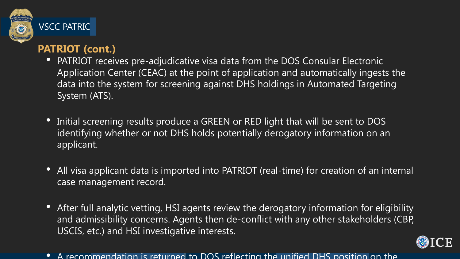

#### VSCC PATRIC

#### **PATRIOT (cont.)**

• Initial screening results produce a GREEN or RED light that will be sent to DOS identifying whether or not DHS holds potentially derogatory information on an

• All visa applicant data is imported into PATRIOT (real-time) for creation of an internal

- System (ATS).
- applicant.
- case management record.
- USCIS, etc.) and HSI investigative interests.
- 

• PATRIOT receives pre-adjudicative visa data from the DOS Consular Electronic Application Center (CEAC) at the point of application and automatically ingests the data into the system for screening against DHS holdings in Automated Targeting

• After full analytic vetting, HSI agents review the derogatory information for eligibility and admissibility concerns. Agents then de-conflict with any other stakeholders (CBP,



• A recommendation is returned to DOS reflecting the unified DHS position on the

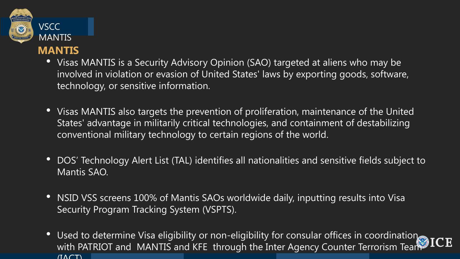

• Visas MANTIS is a Security Advisory Opinion (SAO) targeted at aliens who may be involved in violation or evasion of United States' laws by exporting goods, software,

- technology, or sensitive information.
- conventional military technology to certain regions of the world.
- Mantis SAO.
- Security Program Tracking System (VSPTS).
- $(IACT)$

• Visas MANTIS also targets the prevention of proliferation, maintenance of the United States' advantage in militarily critical technologies, and containment of destabilizing



## VSCC **MANTIS**

• DOS' Technology Alert List (TAL) identifies all nationalities and sensitive fields subject to

• NSID VSS screens 100% of Mantis SAOs worldwide daily, inputting results into Visa

• Used to determine Visa eligibility or non-eligibility for consular offices in coordination Took JCE with PATRIOT and MANTIS and KFE through the Inter Agency Counter Terrorism Team

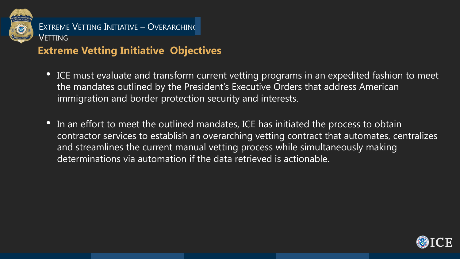### **Extreme Vetting Initiative Objectives**

• ICE must evaluate and transform current vetting programs in an expedited fashion to meet the mandates outlined by the President's Executive Orders that address American

• In an effort to meet the outlined mandates, ICE has initiated the process to obtain contractor services to establish an overarching vetting contract that automates, centralizes and streamlines the current manual vetting process while simultaneously making









- immigration and border protection security and interests.
- determinations via automation if the data retrieved is actionable.



### EXTREME VETTING INITIATIVE – OVERARCHING VETTING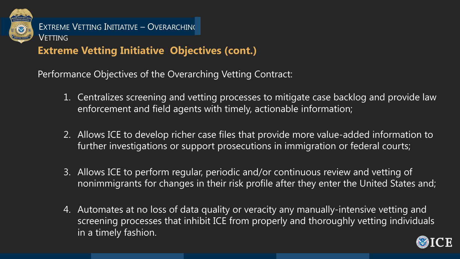### **Extreme Vetting Initiative Objectives (cont.)**

Performance Objectives of the Overarching Vetting Contract:

- 1. Centralizes screening and vetting processes to mitigate case backlog and provide law enforcement and field agents with timely, actionable information;
- 2. Allows ICE to develop richer case files that provide more value-added information to further investigations or support prosecutions in immigration or federal courts;
- 3. Allows ICE to perform regular, periodic and/or continuous review and vetting of nonimmigrants for changes in their risk profile after they enter the United States and;
- 4. Automates at no loss of data quality or veracity any manually-intensive vetting and screening processes that inhibit ICE from properly and thoroughly vetting individuals in a timely fashion.





EXTREME VETTING INITIATIVE – OVERARCHING VETTING